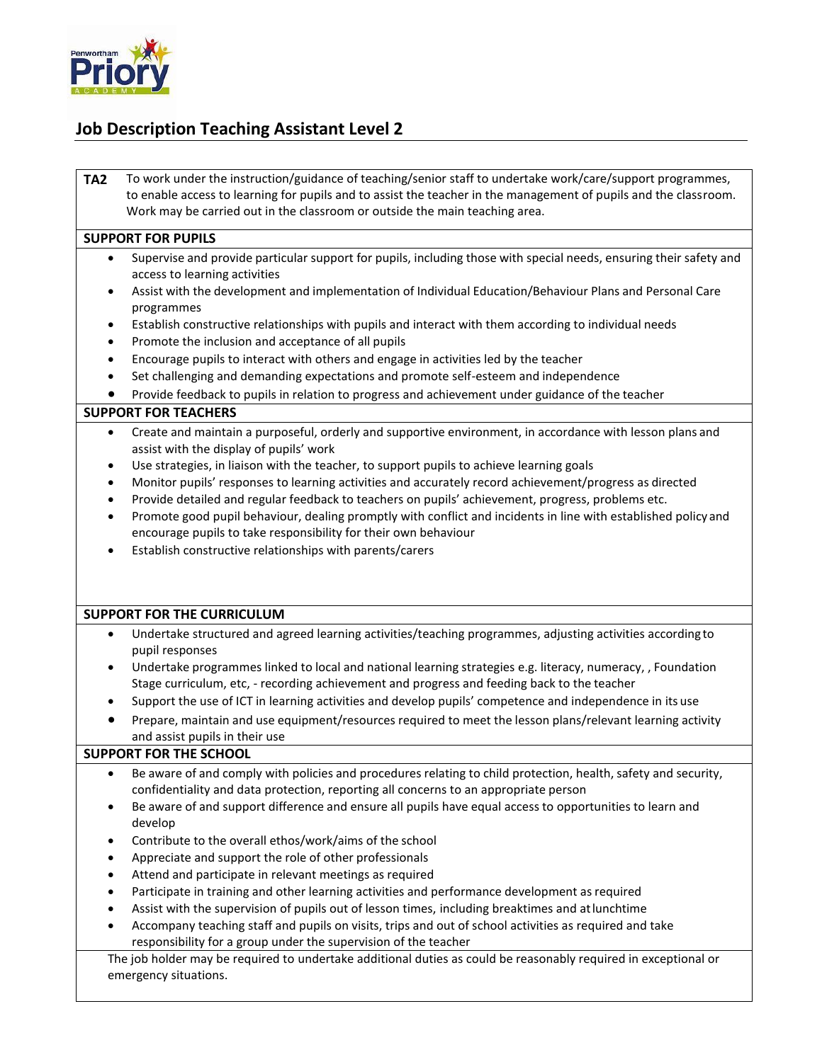

## **Job Description Teaching Assistant Level 2**

| TA <sub>2</sub>           | To work under the instruction/guidance of teaching/senior staff to undertake work/care/support programmes,<br>to enable access to learning for pupils and to assist the teacher in the management of pupils and the classroom. |  |  |
|---------------------------|--------------------------------------------------------------------------------------------------------------------------------------------------------------------------------------------------------------------------------|--|--|
|                           | Work may be carried out in the classroom or outside the main teaching area.                                                                                                                                                    |  |  |
| <b>SUPPORT FOR PUPILS</b> |                                                                                                                                                                                                                                |  |  |
| $\bullet$                 | Supervise and provide particular support for pupils, including those with special needs, ensuring their safety and<br>access to learning activities                                                                            |  |  |
| $\bullet$                 | Assist with the development and implementation of Individual Education/Behaviour Plans and Personal Care<br>programmes                                                                                                         |  |  |
| $\bullet$                 | Establish constructive relationships with pupils and interact with them according to individual needs                                                                                                                          |  |  |
| $\bullet$<br>$\bullet$    | Promote the inclusion and acceptance of all pupils<br>Encourage pupils to interact with others and engage in activities led by the teacher                                                                                     |  |  |
| $\bullet$                 | Set challenging and demanding expectations and promote self-esteem and independence                                                                                                                                            |  |  |
| $\bullet$                 | Provide feedback to pupils in relation to progress and achievement under guidance of the teacher                                                                                                                               |  |  |
|                           | <b>SUPPORT FOR TEACHERS</b>                                                                                                                                                                                                    |  |  |
| $\bullet$                 | Create and maintain a purposeful, orderly and supportive environment, in accordance with lesson plans and<br>assist with the display of pupils' work                                                                           |  |  |
| $\bullet$                 | Use strategies, in liaison with the teacher, to support pupils to achieve learning goals                                                                                                                                       |  |  |
| $\bullet$                 | Monitor pupils' responses to learning activities and accurately record achievement/progress as directed                                                                                                                        |  |  |
| $\bullet$                 | Provide detailed and regular feedback to teachers on pupils' achievement, progress, problems etc.                                                                                                                              |  |  |
| $\bullet$                 | Promote good pupil behaviour, dealing promptly with conflict and incidents in line with established policy and                                                                                                                 |  |  |
| $\bullet$                 | encourage pupils to take responsibility for their own behaviour<br>Establish constructive relationships with parents/carers                                                                                                    |  |  |
|                           | <b>SUPPORT FOR THE CURRICULUM</b>                                                                                                                                                                                              |  |  |
| $\bullet$                 | Undertake structured and agreed learning activities/teaching programmes, adjusting activities according to                                                                                                                     |  |  |
|                           | pupil responses                                                                                                                                                                                                                |  |  |
| $\bullet$                 | Undertake programmes linked to local and national learning strategies e.g. literacy, numeracy, , Foundation<br>Stage curriculum, etc, - recording achievement and progress and feeding back to the teacher                     |  |  |
| $\bullet$                 | Support the use of ICT in learning activities and develop pupils' competence and independence in its use                                                                                                                       |  |  |
|                           | Prepare, maintain and use equipment/resources required to meet the lesson plans/relevant learning activity<br>and assist pupils in their use                                                                                   |  |  |
|                           | <b>SUPPORT FOR THE SCHOOL</b>                                                                                                                                                                                                  |  |  |
| $\bullet$                 | Be aware of and comply with policies and procedures relating to child protection, health, safety and security,<br>confidentiality and data protection, reporting all concerns to an appropriate person                         |  |  |
| $\bullet$                 | Be aware of and support difference and ensure all pupils have equal access to opportunities to learn and<br>develop                                                                                                            |  |  |
| ٠                         | Contribute to the overall ethos/work/aims of the school                                                                                                                                                                        |  |  |
| $\bullet$                 | Appreciate and support the role of other professionals                                                                                                                                                                         |  |  |
| ٠                         | Attend and participate in relevant meetings as required                                                                                                                                                                        |  |  |
| $\bullet$                 | Participate in training and other learning activities and performance development as required                                                                                                                                  |  |  |
| $\bullet$                 | Assist with the supervision of pupils out of lesson times, including breaktimes and at lunchtime<br>Accompany teaching staff and pupils on visits, trips and out of school activities as required and take                     |  |  |
|                           | responsibility for a group under the supervision of the teacher                                                                                                                                                                |  |  |
|                           | The job holder may be required to undertake additional duties as could be reasonably required in exceptional or                                                                                                                |  |  |
|                           | emergency situations.                                                                                                                                                                                                          |  |  |
|                           |                                                                                                                                                                                                                                |  |  |